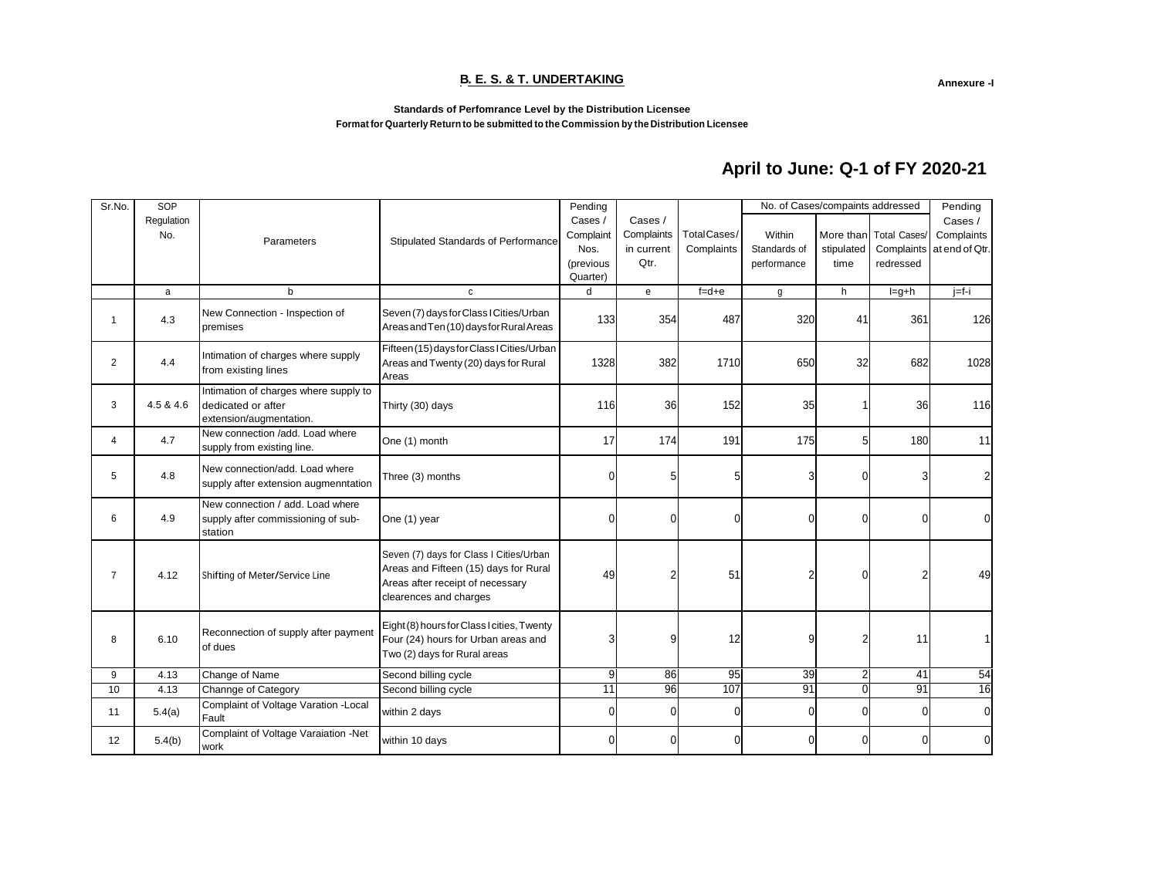#### **B. E. S. & T. UNDERTAKING**

**Annexure -I**

**1**

#### **Standards of Perfomrance Level by the Distribution Licensee Format for Quarterly Return to be submitted to the Commission by the Distribution Licensee**

# **April to June: Q-1 of FY 2020-21**

| Sr.No.         | SOP        |                                                                                        |                                                                                                                                                | Pending       |                |             | No. of Cases/compaints addressed |                | Pending             |                |
|----------------|------------|----------------------------------------------------------------------------------------|------------------------------------------------------------------------------------------------------------------------------------------------|---------------|----------------|-------------|----------------------------------|----------------|---------------------|----------------|
|                | Regulation |                                                                                        |                                                                                                                                                | Cases /       | Cases /        |             |                                  |                |                     | Cases /        |
|                | No.        | Parameters                                                                             | Stipulated Standards of Performance                                                                                                            | Complaint     | Complaints     | TotalCases/ | Within                           | More than      | <b>Total Cases/</b> | Complaints     |
|                |            |                                                                                        |                                                                                                                                                | Nos.          | in current     | Complaints  | Standards of                     | stipulated     | Complaints          | at end of Qtr. |
|                |            |                                                                                        |                                                                                                                                                | (previous     | Qtr.           |             | performance                      | time           | redressed           |                |
|                | a          | $\mathbf b$                                                                            | C                                                                                                                                              | Quarter)<br>d | e              | $f = d + e$ | g                                | h              | $l = g + h$         | $j=f-i$        |
|                |            |                                                                                        |                                                                                                                                                |               |                |             |                                  |                |                     |                |
| $\overline{1}$ | 4.3        | New Connection - Inspection of<br>premises                                             | Seven (7) days for Class I Cities/Urban<br>Areas and Ten (10) days for Rural Areas                                                             | 133           | 354            | 487         | 320                              | 41             | 361                 | 126            |
| 2              | 4.4        | Intimation of charges where supply<br>from existing lines                              | Fifteen (15) days for Class I Cities/Urban<br>Areas and Twenty (20) days for Rural<br>Areas                                                    | 1328          | 382            | 1710        | 650                              | 32             | 682                 | 1028           |
| 3              | 4.5 & 4.6  | Intimation of charges where supply to<br>dedicated or after<br>extension/augmentation. | Thirty (30) days                                                                                                                               | 116           | 36             | 152         | 35                               |                | 36                  | 116            |
| 4              | 4.7        | New connection /add. Load where<br>supply from existing line.                          | One (1) month                                                                                                                                  | 17            | 174            | 191         | 175                              | 5              | 180                 | 11             |
| 5              | 4.8        | New connection/add. Load where<br>supply after extension augmenntation                 | Three (3) months                                                                                                                               | $\Omega$      | 5              | 5           | 3                                | 0              |                     | 2              |
| 6              | 4.9        | New connection / add. Load where<br>supply after commissioning of sub-<br>station      | One (1) year                                                                                                                                   | O             | $\theta$       |             | $\Omega$                         | 0              |                     | $\mathbf{0}$   |
| $\overline{7}$ | 4.12       | Shifting of Meter/Service Line                                                         | Seven (7) days for Class I Cities/Urban<br>Areas and Fifteen (15) days for Rural<br>Areas after receipt of necessary<br>clearences and charges | 49            | $\overline{2}$ | 51          | $\overline{2}$                   | 0              |                     | 49             |
| 8              | 6.10       | Reconnection of supply after payment<br>of dues                                        | Eight (8) hours for Class I cities, Twenty<br>Four (24) hours for Urban areas and<br>Two (2) days for Rural areas                              | 3             | 9              | 12          | 9                                | 2              | 11                  |                |
| 9              | 4.13       | Change of Name                                                                         | Second billing cycle                                                                                                                           | 9             | 86             | 95          | 39                               | $\overline{2}$ | 41                  | 54             |
| 10             | 4.13       | Channge of Category                                                                    | Second billing cycle                                                                                                                           | 11            | 96             | 107         | 91                               | $\Omega$       | 91                  | 16             |
| 11             | 5.4(a)     | Complaint of Voltage Varation - Local<br>Fault                                         | within 2 days                                                                                                                                  | O             | $\mathbf 0$    |             | $\Omega$                         | 0              | ሰ                   | $\mathbf 0$    |
| 12             | 5.4(b)     | Complaint of Voltage Varaiation -Net<br>work                                           | within 10 days                                                                                                                                 | 0             | $\theta$       | 0           | 0                                | 0              |                     | O              |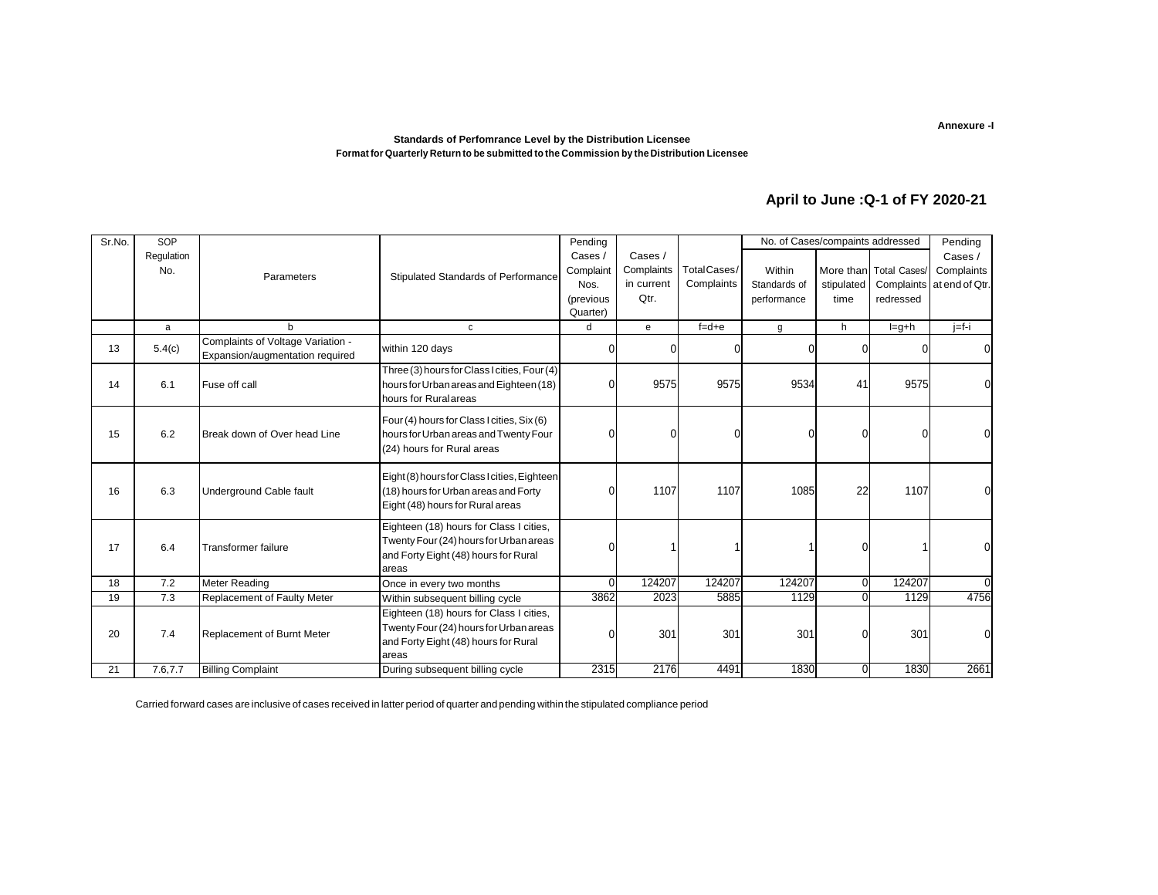#### **Standards of Perfomrance Level by the Distribution Licensee Format for Quarterly Return to be submitted to the Commission by the Distribution Licensee**

### **April to June :Q-1 of FY 2020-21**

| Sr.No. | SOP        |                                                                      |                                                                                                                                    | Pending   |            |             | No. of Cases/compaints addressed |                |                        | Pending                   |
|--------|------------|----------------------------------------------------------------------|------------------------------------------------------------------------------------------------------------------------------------|-----------|------------|-------------|----------------------------------|----------------|------------------------|---------------------------|
|        | Regulation |                                                                      |                                                                                                                                    | Cases /   | Cases /    |             |                                  |                |                        | Cases /                   |
|        | No.        | Parameters                                                           | Stipulated Standards of Performance                                                                                                | Complaint | Complaints | TotalCases/ | Within                           |                | More than Total Cases/ | Complaints                |
|        |            |                                                                      |                                                                                                                                    | Nos.      | in current | Complaints  | Standards of                     | stipulated     |                        | Complaints at end of Qtr. |
|        |            |                                                                      |                                                                                                                                    | (previous | Qtr.       |             | performance                      | time           | redressed              |                           |
|        |            |                                                                      |                                                                                                                                    | Quarter)  |            |             |                                  |                |                        |                           |
|        | a          | b                                                                    | c                                                                                                                                  | d         | e          | $f = d + e$ | g                                | h              | $l = g + h$            | $j=f-i$                   |
| 13     | 5.4(c)     | Complaints of Voltage Variation -<br>Expansion/augmentation required | within 120 days                                                                                                                    | 0         | $\Omega$   |             |                                  | $\Omega$       | 0                      | $\overline{0}$            |
| 14     | 6.1        | Fuse off call                                                        | Three (3) hours for Class I cities, Four (4)<br>hours for Urban areas and Eighteen (18)<br>hours for Ruralareas                    | 0         | 9575       | 9575        | 9534                             | 41             | 9575                   | 0                         |
| 15     | 6.2        | Break down of Over head Line                                         | Four (4) hours for Class I cities, Six (6)<br>hours for Urban areas and Twenty Four<br>(24) hours for Rural areas                  | $\Omega$  | O          |             | $\Omega$                         | $\mathbf 0$    | 0                      | 0                         |
| 16     | 6.3        | Underground Cable fault                                              | Eight (8) hours for Class I cities, Eighteen<br>(18) hours for Urban areas and Forty<br>Eight (48) hours for Rural areas           | n         | 1107       | 1107        | 1085                             | 22             | 1107                   | 0                         |
| 17     | 6.4        | Transformer failure                                                  | Eighteen (18) hours for Class I cities,<br>Twenty Four (24) hours for Urban areas<br>and Forty Eight (48) hours for Rural<br>areas |           |            |             |                                  | $\Omega$       |                        | 0                         |
| 18     | 7.2        | <b>Meter Reading</b>                                                 | Once in every two months                                                                                                           | $\Omega$  | 124207     | 124207      | 124207                           | $\overline{0}$ | 124207                 | $\Omega$                  |
| 19     | 7.3        | Replacement of Faulty Meter                                          | Within subsequent billing cycle                                                                                                    | 3862      | 2023       | 5885        | 1129                             | $\Omega$       | 1129                   | 4756                      |
| 20     | 7.4        | Replacement of Burnt Meter                                           | Eighteen (18) hours for Class I cities,<br>Twenty Four (24) hours for Urban areas<br>and Forty Eight (48) hours for Rural<br>areas | n         | 301        | 301         | 301                              | $\mathbf 0$    | 301                    | $\mathbf 0$               |
| 21     | 7.6,7.7    | <b>Billing Complaint</b>                                             | During subsequent billing cycle                                                                                                    | 2315      | 2176       | 4491        | 1830                             | $\overline{0}$ | 1830                   | 2661                      |

Carried forward cases are inclusive of cases received in latter period of quarter and pending within the stipulated compliance period

**Annexure -I**

**2**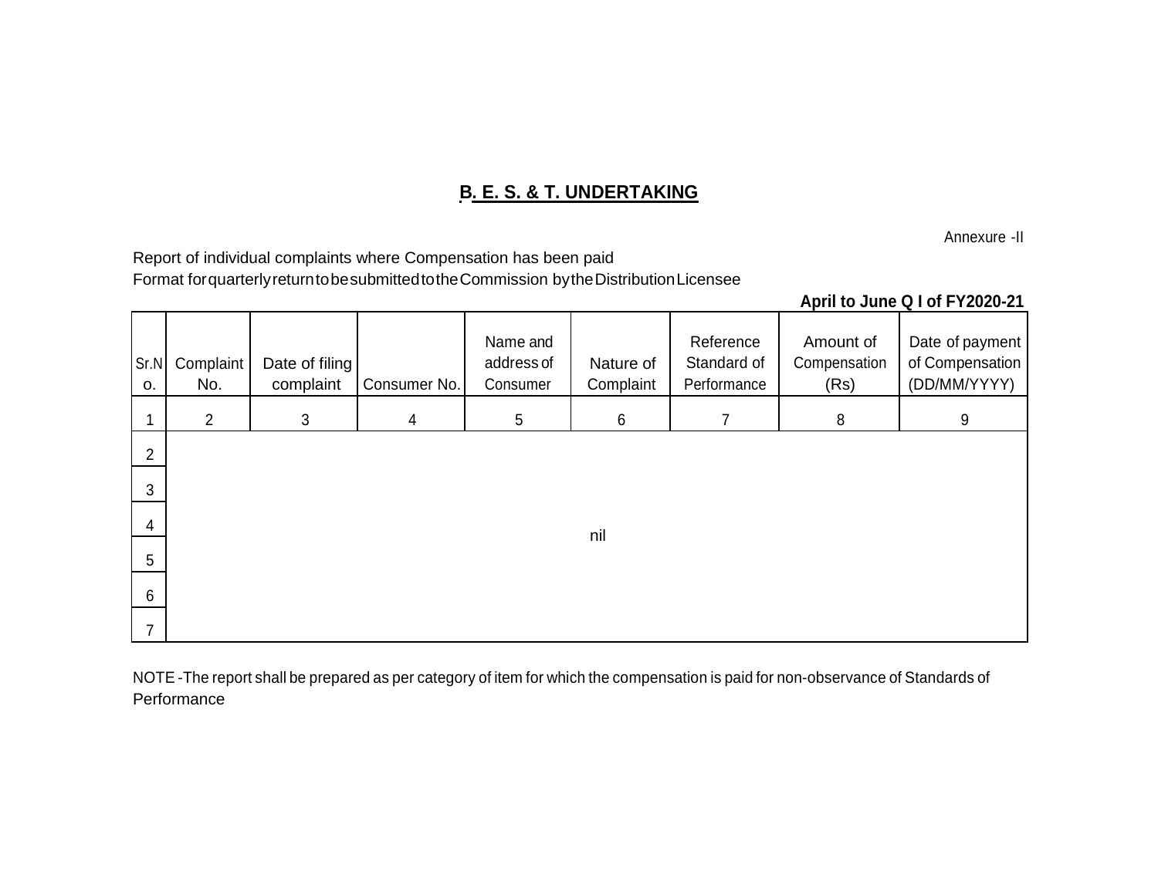# **B. E. S. & T. UNDERTAKING**

Annexure -II

Report of individual complaints where Compensation has been paid Format forquarterlyreturntobesubmittedtotheCommission bytheDistributionLicensee

## **April to June Q I of FY2020-21**

| Sr.N<br>0.     | Complaint<br>No. | Date of filing<br>complaint | Consumer No.   | Name and<br>address of<br>Consumer | Nature of<br>Complaint | Reference<br>Standard of<br>Performance | Amount of<br>Compensation<br>(Rs) | Date of payment<br>of Compensation<br>(DD/MM/YYYY) |
|----------------|------------------|-----------------------------|----------------|------------------------------------|------------------------|-----------------------------------------|-----------------------------------|----------------------------------------------------|
|                | $\overline{2}$   | $\mathbf{3}$                | $\overline{4}$ | $5\,$                              | 6                      | 7                                       | 8                                 | 9                                                  |
| 2              |                  |                             |                |                                    |                        |                                         |                                   |                                                    |
| $\mathfrak{B}$ |                  |                             |                |                                    |                        |                                         |                                   |                                                    |
| 4              |                  |                             |                |                                    | nil                    |                                         |                                   |                                                    |
| 5              |                  |                             |                |                                    |                        |                                         |                                   |                                                    |
| $6\phantom{.}$ |                  |                             |                |                                    |                        |                                         |                                   |                                                    |
| $\overline{7}$ |                  |                             |                |                                    |                        |                                         |                                   |                                                    |

NOTE -The report shall be prepared as per category of item for which the compensation is paid for non-observance of Standards of **Performance**